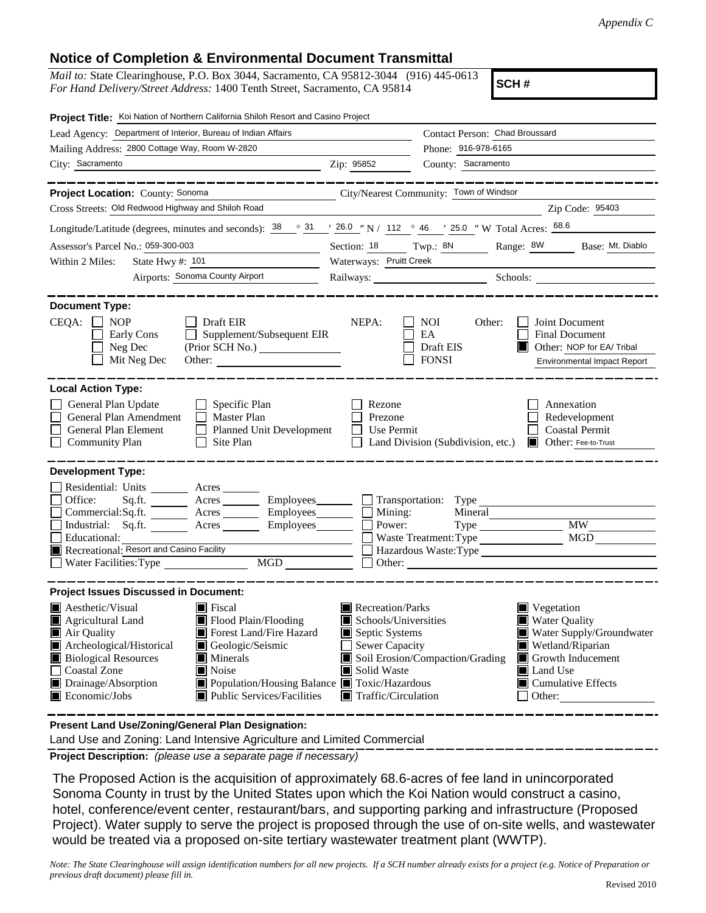## **Notice of Completion & Environmental Document Transmittal**

*Mail to:* State Clearinghouse, P.O. Box 3044, Sacramento, CA 95812-3044 (916) 445-0613 *For Hand Delivery/Street Address:* 1400 Tenth Street, Sacramento, CA 95814

**SCH #**

| Project Title: Koi Nation of Northern California Shiloh Resort and Casino Project                                                                                                                                                                                                                                                                                                                                                                 |                                 |                                                                                                                                                                                                                                                                                                                                      |                                                                                                                  |
|---------------------------------------------------------------------------------------------------------------------------------------------------------------------------------------------------------------------------------------------------------------------------------------------------------------------------------------------------------------------------------------------------------------------------------------------------|---------------------------------|--------------------------------------------------------------------------------------------------------------------------------------------------------------------------------------------------------------------------------------------------------------------------------------------------------------------------------------|------------------------------------------------------------------------------------------------------------------|
| Lead Agency: Department of Interior, Bureau of Indian Affairs                                                                                                                                                                                                                                                                                                                                                                                     |                                 | Contact Person: Chad Broussard                                                                                                                                                                                                                                                                                                       |                                                                                                                  |
| Mailing Address: 2800 Cottage Way, Room W-2820                                                                                                                                                                                                                                                                                                                                                                                                    |                                 | Phone: 916-978-6165                                                                                                                                                                                                                                                                                                                  |                                                                                                                  |
| City: Sacramento<br><u> 1989 - Johann Stoff, deutscher Stoff, der Stoff, der Stoff, der Stoff, der Stoff, der Stoff, der Stoff, der S</u>                                                                                                                                                                                                                                                                                                         | Zip: 95852                      | County: Sacramento                                                                                                                                                                                                                                                                                                                   |                                                                                                                  |
|                                                                                                                                                                                                                                                                                                                                                                                                                                                   |                                 |                                                                                                                                                                                                                                                                                                                                      |                                                                                                                  |
| Project Location: County: Sonoma                                                                                                                                                                                                                                                                                                                                                                                                                  |                                 | City/Nearest Community: Town of Windsor                                                                                                                                                                                                                                                                                              |                                                                                                                  |
| Cross Streets: Old Redwood Highway and Shiloh Road                                                                                                                                                                                                                                                                                                                                                                                                |                                 |                                                                                                                                                                                                                                                                                                                                      | Zip Code: 95403                                                                                                  |
| Longitude/Latitude (degrees, minutes and seconds): $\frac{38}{10}$ $\frac{31}{10}$ $\frac{126.0}{10}$ N / 112 $\degree$ 46 $\degree$ 125.0 " W Total Acres: $\frac{68.6}{100}$                                                                                                                                                                                                                                                                    |                                 |                                                                                                                                                                                                                                                                                                                                      |                                                                                                                  |
| Assessor's Parcel No.: 059-300-003<br>the control of the control of the control of                                                                                                                                                                                                                                                                                                                                                                | Section: 18 Twp.: 8N            |                                                                                                                                                                                                                                                                                                                                      | Range: 8W<br>Base: Mt. Diablo                                                                                    |
| Within 2 Miles:                                                                                                                                                                                                                                                                                                                                                                                                                                   | Waterways: Pruitt Creek         |                                                                                                                                                                                                                                                                                                                                      |                                                                                                                  |
| Airports: Sonoma County Airport                                                                                                                                                                                                                                                                                                                                                                                                                   |                                 |                                                                                                                                                                                                                                                                                                                                      | Railways: Schools: Schools:                                                                                      |
| <b>Document Type:</b>                                                                                                                                                                                                                                                                                                                                                                                                                             |                                 |                                                                                                                                                                                                                                                                                                                                      |                                                                                                                  |
| CEQA:<br>$\Box$ Draft EIR<br><b>NOP</b><br>Supplement/Subsequent EIR<br>Early Cons<br>Neg Dec<br>Mit Neg Dec                                                                                                                                                                                                                                                                                                                                      | NEPA:                           | NOI<br>Other:<br>EA<br>Draft EIS<br><b>FONSI</b>                                                                                                                                                                                                                                                                                     | Joint Document<br><b>Final Document</b><br>Other: NOP for EA/ Tribal<br>IЦ<br><b>Environmental Impact Report</b> |
| <b>Local Action Type:</b>                                                                                                                                                                                                                                                                                                                                                                                                                         |                                 |                                                                                                                                                                                                                                                                                                                                      |                                                                                                                  |
| General Plan Update<br>$\Box$ Specific Plan<br>General Plan Amendment<br>$\Box$ Master Plan<br>General Plan Element<br>$\Box$<br><b>Planned Unit Development</b><br><b>Community Plan</b><br>Site Plan                                                                                                                                                                                                                                            | Rezone<br>Prezone<br>Use Permit | Land Division (Subdivision, etc.)                                                                                                                                                                                                                                                                                                    | Annexation<br>Redevelopment<br><b>Coastal Permit</b><br>Other: Fee-to-Trust                                      |
| <b>Development Type:</b>                                                                                                                                                                                                                                                                                                                                                                                                                          |                                 |                                                                                                                                                                                                                                                                                                                                      |                                                                                                                  |
| Residential: Units ________ Acres _______<br>Office:<br>Acres<br>Sq.ft.<br>Commercial:Sq.ft. ________ Acres _________ Employees _______ __ Mining:<br>Industrial: Sq.ft. Acres<br>Educational:<br>Recreational: Resort and Casino Facility<br>MGD<br><sub>1</sub><br>Water Facilities: Type                                                                                                                                                       | Power:                          | Mineral<br>Waste Treatment: Type                                                                                                                                                                                                                                                                                                     | <b>MW</b><br>MGD<br>Hazardous Waste:Type                                                                         |
| <b>Project Issues Discussed in Document:</b>                                                                                                                                                                                                                                                                                                                                                                                                      |                                 |                                                                                                                                                                                                                                                                                                                                      |                                                                                                                  |
| $\blacksquare$ Aesthetic/Visual<br>$\blacksquare$ Fiscal<br>$\blacksquare$ Agricultural Land<br>$\blacksquare$ Flood Plain/Flooding<br>Forest Land/Fire Hazard<br>Air Quality<br>Archeological/Historical<br>Geologic/Seismic<br><b>Biological Resources</b><br>$\blacksquare$ Minerals<br>Noise<br><b>Coastal Zone</b><br>Drainage/Absorption<br>■ Population/Housing Balance ■ Toxic/Hazardous<br>Economic/Jobs<br>■ Public Services/Facilities | Recreation/Parks<br>Solid Waste | $\blacksquare$ Vegetation<br><b>Water Quality</b><br>Schools/Universities<br>Septic Systems<br>Water Supply/Groundwater<br><b>Sewer Capacity</b><br>Wetland/Riparian<br>Soil Erosion/Compaction/Grading<br>Growth Inducement<br>Land Use<br>$\blacksquare$ Cumulative Effects<br>$\blacksquare$ Traffic/Circulation<br>$\Box$ Other: |                                                                                                                  |

**Present Land Use/Zoning/General Plan Designation:**

Land Use and Zoning: Land Intensive Agriculture and Limited Commercial

**Project Description:** *(please use a separate page if necessary)*

 The Proposed Action is the acquisition of approximately 68.6-acres of fee land in unincorporated Sonoma County in trust by the United States upon which the Koi Nation would construct a casino, hotel, conference/event center, restaurant/bars, and supporting parking and infrastructure (Proposed Project). Water supply to serve the project is proposed through the use of on-site wells, and wastewater would be treated via a proposed on-site tertiary wastewater treatment plant (WWTP).

*Note: The State Clearinghouse will assign identification numbers for all new projects. If a SCH number already exists for a project (e.g. Notice of Preparation or previous draft document) please fill in.*